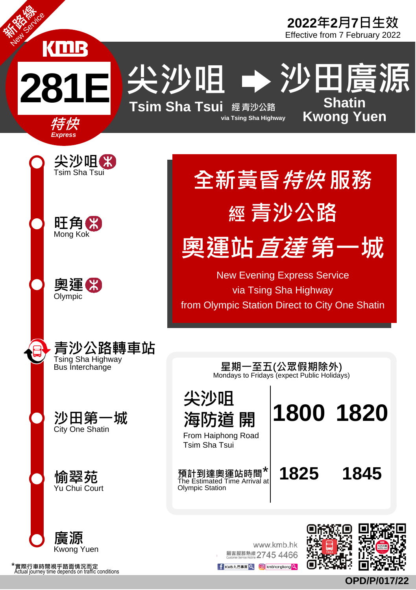

尖沙咀 → 沙田廣源



尖沙咀

海防道 開 From Haiphong Road Tsim Sha Tsui

The Estimated Time Arrival at<br>Olympic Station

**Sha tin Kwong Yuen**



特 快*Expr ess*

新路線 New Service



www.kmb.hk 願客服務熱線 2745 4466



**1800 1820**

F KMB九巴専頁 Q **[O]** kmbhongkong Q

**OPD/P/017/22**

\*實際行車時間視乎路面情況而定<br>Actual journey time depends on traffic conditions



全新黃昏*特快* 服務

經 青沙公路

奧運站*直達* 第一城

New Evening Express Service via Tsing Sha Highway from Olympic Station Direct to City One Shatin

> Mondays to Fridays (expect Public Holidays) 星期一至五(公眾假期除外)

預計到達奧運站時間<sup>\*</sup> 1825 1845<br>The Estimated Time Arrival at 25